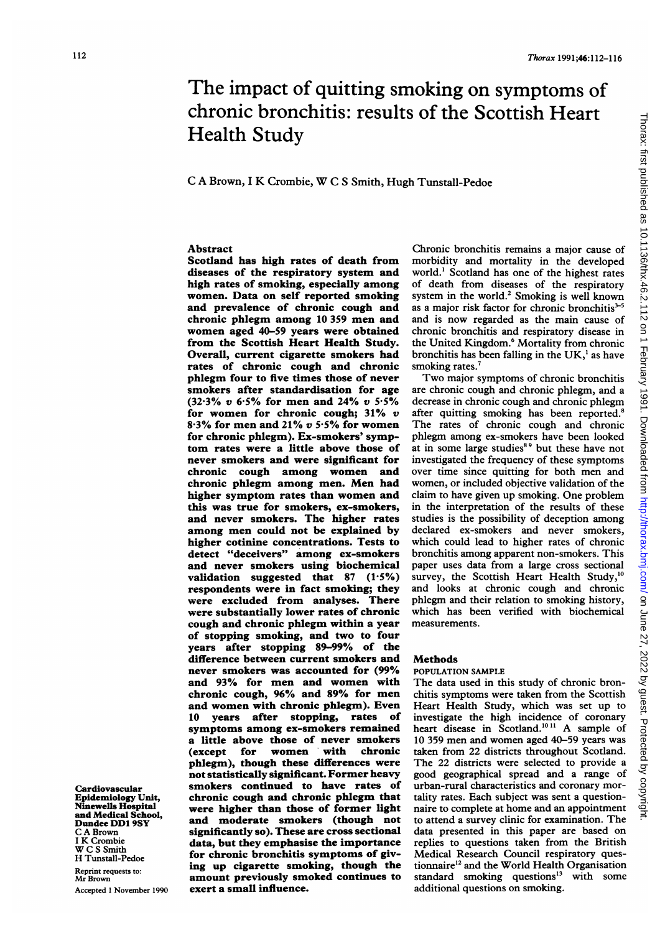# The impact of quitting smoking on symptoms of chronic bronchitis: results of the Scottish Heart Health Study

# <sup>C</sup> A Brown, <sup>I</sup> K Crombie, W <sup>C</sup> <sup>S</sup> Smith, Hugh Tunstall-Pedoe

### Abstract

Scotland has high rates of death from diseases of the respiratory system and high rates of smoking, especially among women. Data on self reported smoking and prevalence of chronic cough and chronic phlegm among <sup>10</sup> <sup>359</sup> men and women aged 40-59 years were obtained from the Scottish Heart Health Study. Overall, current cigarette smokers had rates of chronic cough and chronic phlegm four to five times those of never smokers after standardisation for age (32.3% v 6.5% for men and 24% v 5.5% for women for chronic cough;  $31\%$  v  $8.3\%$  for men and  $21\%$  v 5.5% for women for chronic phlegm). Ex-smokers' symptom rates were a little above those of never smokers and were significant for chronic cough among women and chronic phlegm among men. Men had higher symptom rates than women and this was true for smokers, ex-smokers, and never smokers. The higher rates among men could not be explained by higher cotinine concentrations. Tests to detect "deceivers" among ex-smokers and never smokers using biochemical validation suggested that  $87$  (1.5%) respondents were in fact smoking; they were excluded from analyses. There were substantially lower rates of chronic cough and chronic phlegm within a year of stopping smoking, and two to four years after stopping 89-99% of the difference between current smokers and never smokers was accounted for (99% and 93% for men and women with chronic cough, 96% and 89% for men and women with chronic phlegm). Even 10 years after stopping, rates of symptoms among ex-smokers remained a little above those of never smokers (except for women with chronic phlegm), though these differences were not statistically significant. Former heavy smokers continued to have rates of chronic cough and chronic phlegm that were higher than those of former light and moderate smokers (though not significantly so). These are cross sectional data, but they emphasise the importance for chronic bronchitis symptoms of giving up cigarette smoking, though the amount previously smoked continues to exert a small influence.

Chronic bronchitis remains a major cause of morbidity and mortality in the developed world.' Scotland has one of the highest rates of death from diseases of the respiratory system in the world.<sup>2</sup> Smoking is well known as a major risk factor for chronic bronchitis $3-5$ and is now regarded as the main cause of chronic bronchitis and respiratory disease in the United Kingdom.<sup>6</sup> Mortality from chronic bronchitis has been falling in the UK,' as have smoking rates.<sup>7</sup>

Two major symptoms of chronic bronchitis are chronic cough and chronic phlegm, and a decrease in chronic cough and chronic phlegm after quitting smoking has been reported.<sup>8</sup> The rates of chronic cough and chronic phlegm among ex-smokers have been looked at in some large studies<sup>89</sup> but these have not investigated the frequency of these symptoms over time since quitting for both men and women, or included objective validation of the claim to have given up smoking. One problem in the interpretation of the results of these studies is the possibility of deception among declared ex-smokers and never smokers, which could lead to higher rates of chronic bronchitis among apparent non-smokers. This paper uses data from a large cross sectional survey, the Scottish Heart Health Study,<sup>10</sup> and looks at chronic cough and chronic phlegm and their relation to smoking history, which has been verified with biochemical measurements.

#### Methods

#### POPULATION SAMPLE

The data used in this study of chronic bronchitis symptoms were taken from the Scottish Heart Health Study, which was set up to investigate the high incidence of coronary heart disease in Scotland.<sup>1011</sup> A sample of 10 359 men and women aged 40-59 years was taken from 22 districts throughout Scotland. The 22 districts were selected to provide a good geographical spread and a range of urban-rural characteristics and coronary mortality rates. Each subject was sent a questionnaire to complete at home and an appointment to attend <sup>a</sup> survey clinic for examination. The data presented in this paper are based on replies to questions taken from the British Medical Research Council respiratory questionnaire<sup>12</sup> and the World Health Organisation standard smoking questions'3 with some additional questions on smoking.

Cardiovascular Epidemiology Unit, Ninewells Hospital and Medical School, Dundee DD1 9SY C A Brown <sup>I</sup> K Crombie W C S Smith H Tunstall-Pedoe Reprint requests to: Mr Brown

Accepted <sup>1</sup> November 1990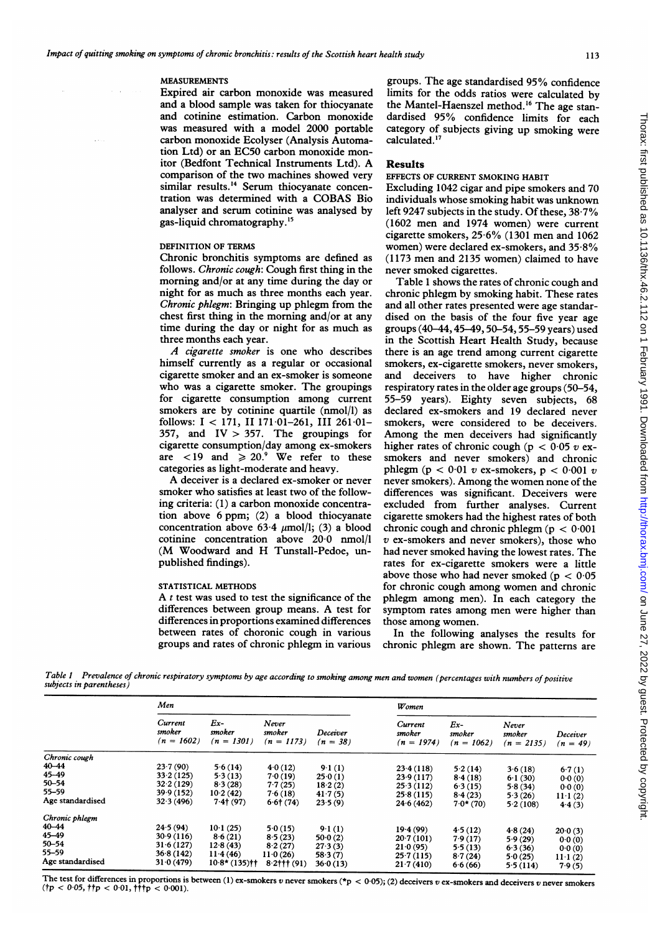#### MEASUREMENTS

 $\mathcal{L}^{\mathcal{L}}$  .

Expired air carbon monoxide was measured and a blood sample was taken for thiocyanate and cotinine estimation. Carbon monoxide was measured with a model 2000 portable carbon monoxide Ecolyser (Analysis Automation Ltd) or an EC50 carbon monoxide monitor (Bedfont Technical Instruments Ltd). A comparison of the two machines showed very similar results.<sup>14</sup> Serum thiocyanate concentration was determined with <sup>a</sup> COBAS Bio analyser and serum cotinine was analysed by gas-liquid chromatography.'5

#### DEFINITION OF TERMS

Chronic bronchitis symptoms are defined as follows. Chronic cough: Cough first thing in the morning and/or at any time during the day or night for as much as three months each year. Chronic phlegm: Bringing up phlegm from the chest first thing in the morning and/or at any time during the day or night for as much as three months each year.

A cigarette smoker is one who describes himself currently as a regular or occasional cigarette smoker and an ex-smoker is someone who was <sup>a</sup> cigarette smoker. The groupings for cigarette consumption among current smokers are by cotinine quartile (nmol/l) as follows: <sup>I</sup> < 171, II 171-01-261, III 261-01-  $357$ , and  $IV > 357$ . The groupings for cigarette consumption/day among ex-smokers are  $\langle 19 \rangle$  and  $\geq 20$ .<sup>9</sup> We refer to these categories as light-moderate and heavy.

A deceiver is <sup>a</sup> declared ex-smoker or never smoker who satisfies at least two of the following criteria: (1) a carbon monoxide concentration above 6 ppm; (2) a blood thiocyanate concentration above  $63.4 \text{ }\mu\text{mol/l}$ ; (3) a blood cotinine concentration above 20-0 nmol/l (M Woodward and H Tunstall-Pedoe, unpublished findings).

#### STATISTICAL METHODS

A  $t$  test was used to test the significance of the differences between group means. A test for differences in proportions examined differences between rates of choronic cough in various groups and rates of chronic phlegm in various

groups. The age standardised 95% confidence limits for the odds ratios were calculated by the Mantel-Haenszel method.'6 The age standardised 95% confidence limits for each category of subjects giving up smoking were calculated.<sup>17</sup>

# Results

#### EFFECTS OF CURRENT SMOKING HABIT

Excluding 1042 cigar and pipe smokers and 70 individuals whose smoking habit was unknown left 9247 subjects in the study. Of these, 38-7% (1602 men and 1974 women) were current cigarette smokers, 25-6% (1301 men and 1062 women) were declared ex-smokers, and 35-8% (1173 men and 2135 women) claimed to have never smoked cigarettes.

Table 1 shows the rates of chronic cough and chronic phlegm by smoking habit. These rates and all other rates presented were age standardised on the basis of the four five year age groups (40-44,45-49,50-54,55-59 years) used in the Scottish Heart Health Study, because there is an age trend among current cigarette smokers, ex-cigarette smokers, never smokers, and deceivers to have higher chronic respiratory rates in the older age groups (50-54, 55-59 years). Eighty seven subjects, 68 declared ex-smokers and 19 declared never smokers, were considered to be deceivers. Among the men deceivers had significantly higher rates of chronic cough ( $p < 0.05$  v exsmokers and never smokers) and chronic phlegm ( $p < 0.01$  v ex-smokers,  $p < 0.001$  v never smokers). Among the women none of the differences was significant. Deceivers were excluded from further analyses. Current cigarette smokers had the highest rates of both chronic cough and chronic phlegm ( $p < 0.001$ ) v ex-smokers and never smokers), those who had never smoked having the lowest rates. The rates for ex-cigarette smokers were a little above those who had never smoked ( $p < 0.05$ ) for chronic cough among women and chronic phlegm among men). In each category the symptom rates among men were higher than those among women.

In the following analyses the results for chronic phlegm are shown. The patterns are

Table 1 Prevalence of chronic respiratory symptoms by age according to smoking among men and women (percentages with numbers of positive subjects in parentheses)

|                  | Men                               |                                 |                                 | Women                  |                                   |                                 |                                 |                           |
|------------------|-----------------------------------|---------------------------------|---------------------------------|------------------------|-----------------------------------|---------------------------------|---------------------------------|---------------------------|
|                  | Current<br>smoker<br>$(n = 1602)$ | $Ex-$<br>smoker<br>$(n = 1301)$ | Never<br>smoker<br>$(n = 1173)$ | Deceiver<br>$(n = 38)$ | Current<br>smoker<br>$(n = 1974)$ | $Ex-$<br>smoker<br>$(n = 1062)$ | Never<br>smoker<br>$(n = 2135)$ | Deceiver<br>$(n = 49)$    |
| Chronic cough    |                                   |                                 |                                 |                        |                                   |                                 |                                 |                           |
| $40 - 44$        | 23.7(90)                          | 5.6(14)                         | 4.0(12)                         | 9.1(1)                 | 23.4(118)                         | 5.2(14)                         | 3.6(18)                         | 6.7(1)                    |
| $45 - 49$        | 33.2(125)                         | 5.3(13)                         | 7.0(19)                         | 25.0(1)                | 23.9(117)                         | 8.4(18)                         | 6.1(30)                         | 0.0(0)                    |
| $50 - 54$        | 32.2(129)                         | 8.3(28)                         | 7.7(25)                         | 18.2(2)                | 25.3(112)                         | 6.3(15)                         | 5.8(34)                         | 0.0(0)                    |
| 55-59            | 39.9(152)                         | 10.2(42)                        | 7.6(18)                         | 41.7(5)                | 25.8(115)                         | 8.4(23)                         | 5.3(26)                         |                           |
| Age standardised | 32.3(496)                         | $7.4$ † (97)                    | $6.6$ † (74)                    | 23.5(9)                | 24.6(462)                         | $7.0*(70)$                      | 5.2(108)                        | $11 \cdot 1(2)$<br>4.4(3) |
| Chronic phlegm   |                                   |                                 |                                 |                        |                                   |                                 |                                 |                           |
| $40 - 44$        | 24.5(94)                          | 10·1(25)                        | 5.0(15)                         | 9.1(1)                 | 19.4(99)                          | 4.5(12)                         |                                 |                           |
| 45-49            | 30.9(116)                         | 8.6(21)                         | 8.5(23)                         | 50.0(2)                | 20.7(101)                         | 7.9(17)                         | 4.8(24)                         | $20 \cdot 0 \cdot (3)$    |
| $50 - 54$        | 31.6(127)                         | 12.8(43)                        | 8.2(27)                         | 27.3(3)                | 21.0(95)                          |                                 | 5.9(29)                         | 0.0(0)                    |
| 55–59            | 36.8(142)                         | 11.4(46)                        | 11.0(26)                        | 58.3(7)                | 25.7(115)                         | 5.5(13)                         | 6.3(36)                         | 0.0(0)                    |
| Age standardised | 31.0(479)                         | $10.8*(135)$ † †                | $8.2$ ††† (91)                  | 36.0(13)               | 21.7(410)                         | 8.7(24)<br>6.6(66)              | 5.0(25)<br>5.5(114)             | $11 \cdot 1(2)$<br>7.9(5) |

The test for differences in proportions is between (1) ex-smokers v never smokers (\*p < 0.05); (2) deceivers v ex-smokers and deceivers v never smokers  $(tp < 0.05, ttp < 0.01, tftp < 0.001).$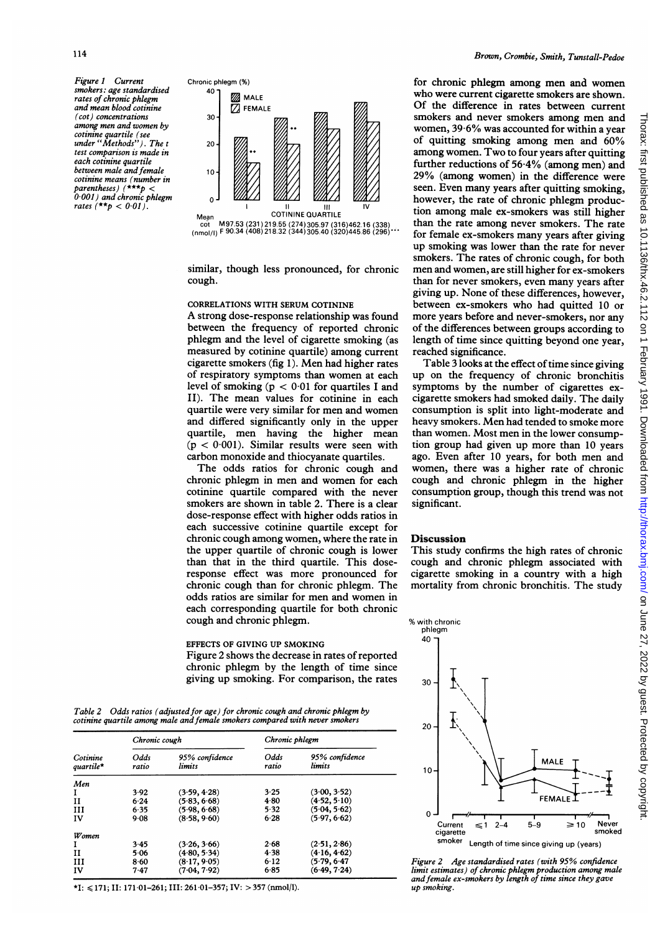Figure 1 Current smokers: age standardised rates of chronic phlegm and mean blood cotinine (cot) concentrations among men and women by cotinine quartile (see under "Methods"). The <sup>t</sup> test comparison is made in each cotinine quartile between male and female cotinine means (number in parentheses) (\*\*\*p < 0 001) and chronic phlegm rates  $(*\star p < 0.01)$ .



similar, though less pronounced, for chronic cough.

# CORRELATIONS WITH SERUM COTININE

A strong dose-response relationship was found between the frequency of reported chronic phlegm and the level of cigarette smoking (as measured by cotinine quartile) among current cigarette smokers (fig 1). Men had higher rates of respiratory symptoms than women at each level of smoking ( $p < 0.01$  for quartiles I and II). The mean values for cotinine in each quartile were very similar for men and women and differed significantly only in the upper quartile, men having the higher mean  $(p < 0.001)$ . Similar results were seen with carbon monoxide and thiocyanate quartiles.

The odds ratios for chronic cough and chronic phlegm in men and women for each cotinine quartile compared with the never smokers are shown in table 2. There is a clear dose-response effect with higher odds ratios in each successive cotinine quartile except for chronic cough among women, where the rate in the upper quartile of chronic cough is lower than that in the third quartile. This doseresponse effect was more pronounced for chronic cough than for chronic phlegm. The odds ratios are similar for men and women in each corresponding quartile for both chronic cough and chronic phlegm.

EFFECTS OF GIVING UP SMOKING Figure 2 shows the decrease in rates of reported chronic phlegm by the length of time since giving up smoking. For comparison, the rates

Table 2 Odds ratios (adjusted for age) for chronic cough and chronic phlegm by cotinine quartile among male and female smokers compared with never smokers

|                       | Chronic cough |                          | Chronic phlegm |                          |  |  |
|-----------------------|---------------|--------------------------|----------------|--------------------------|--|--|
| Cotinine<br>quartile* | Odds<br>ratio | 95% confidence<br>limits | Odds<br>ratio  | 95% confidence<br>limits |  |  |
| Men                   |               |                          |                |                          |  |  |
| 1                     | 3.92          | (3.59, 4.28)             | 3.25           | (3.00, 3.52)             |  |  |
| и                     | 6.24          | (5.83, 6.68)             | 4.80           | (4.52, 5.10)             |  |  |
| ш                     | 6.35          | (5.98, 6.68)             | 5.32           | (5.04, 5.62)             |  |  |
| IV                    | 9.08          | (8.58, 9.60)             | 6.28           | (5.97, 6.62)             |  |  |
| Women                 |               |                          |                |                          |  |  |
| I                     | 3.45          | (3.26, 3.66)             | 2.68           | (2.51, 2.86)             |  |  |
| и                     | 5.06          | (4.80, 5.34)             | 4.38           | (4.16, 4.62)             |  |  |
| ш                     | 8.60          | (8.17, 9.05)             | 6.12           | (5.79, 6.47)             |  |  |
| IV                    | 7.47          | (7.04, 7.92)             | 6.85           | (6.49, 7.24)             |  |  |

\*I:  $\leq$ 171; II: 171·01-261; III: 261·01-357; IV: > 357 (nmol/l).

for chronic phlegm among men and women who were current cigarette smokers are shown. Of the difference in rates between current smokers and never smokers among men and women, 39-6% was accounted for within a year of quitting smoking among men and 60% among women. Two to four years after quitting further reductions of 56-4% (among men) and 29% (among women) in the difference were seen. Even many years after quitting smoking, however, the rate of chronic phlegm production among male ex-smokers was still higher than the rate among never smokers. The rate for female ex-smokers many years after giving up smoking was lower than the rate for never smokers. The rates of chronic cough, for both men and women, are still higher for ex-smokers than for never smokers, even many years after giving up. None of these differences, however, between ex-smokers who had quitted 10 or more years before and never-smokers, nor any of the differences between groups according to length of time since quitting beyond one year, reached significance.

Table 3 looks at the effect of time since giving up on the frequency of chronic bronchitis symptoms by the number of cigarettes excigarette smokers had smoked daily. The daily consumption is split into light-moderate and heavy smokers. Men had tended to smoke more than women. Most men in the lower consumption group had given up more than 10 years ago. Even after 10 years, for both men and women, there was a higher rate of chronic cough and chronic phlegm in the higher consumption group, though this trend was not significant.

#### Discussion

This study confirms the high rates of chronic cough and chronic phlegm associated with cigarette smoking in a country with a high mortality from chronic bronchitis. The study



Figure 2 Age standardised rates (with 95% confidence limit estimates) of chronic phlegm production among male andfemale ex-smokers by length of time since they gave up smoking.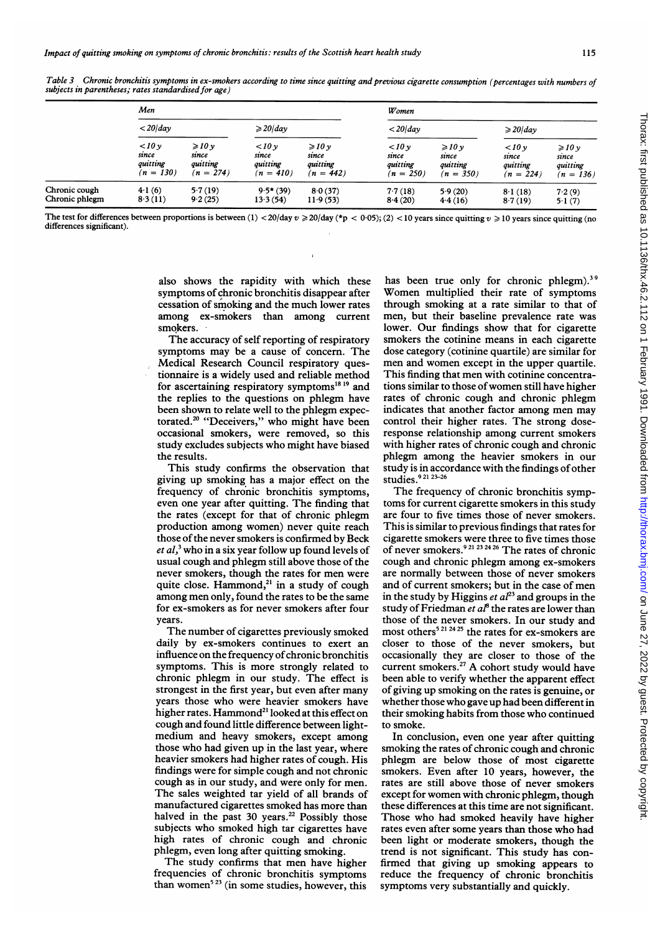|                | Men                     |                  |             |                    |             | Women                   |             |                    |  |
|----------------|-------------------------|------------------|-------------|--------------------|-------------|-------------------------|-------------|--------------------|--|
|                | $\langle 20\rangle$ day |                  |             | $\geqslant$ 20/dav |             | $\langle 20\rangle$ day |             | $\geqslant$ 20/day |  |
|                | 10v                     | $\geqslant$ 10 y | 10v         | $\geqslant$ 10 y   | 10v         | $\geqslant$ 10 y        | 10v         | $\geq 10y$         |  |
|                | since                   | since            | since       | since              | since       | since                   | since       | since              |  |
|                | quitting                | quitting         | quitting    | quitting           | quitting    | quitting                | quitting    | quitting           |  |
|                | $(n = 130)$             | $(n = 274)$      | $(n = 410)$ | $(n = 442)$        | $(n = 250)$ | $(n = 350)$             | $(n = 224)$ | $(n = 136)$        |  |
| Chronic cough  | 4.1(6)                  | 5.7(19)          | $9.5*(39)$  | 8.0(37)            | 7.7(18)     | 5.9(20)                 | 8.1(18)     | 7.2(9)             |  |
| Chronic phlegm | 8.3(11)                 | 9.2(25)          | 13.3(54)    | 11.9(53)           | 8.4(20)     | 4.4(16)                 | 8.7(19)     | 5.1(7)             |  |

Table 3 Chronic bronchitis symptoms in ex-smokers according to time since quitting and previous cigarette consumption (percentages with numbers of subjects in parentheses; rates standardised for age)

The test for differences between proportions is between (1) < 20/day  $v \ge 20$ /day (\*p < 0.05); (2) < 10 years since quitting  $v \ge 10$  years since quitting (no differences significant).

 $\ddot{\phantom{0}}$ 

also shows the rapidity with which these symptoms of chronic bronchitis disappear after cessation of smoking and the much lower rates among ex-smokers than among current smokers.

The accuracy of self reporting of respiratory symptoms may be <sup>a</sup> cause of concern. The Medical Research Council respiratory questionnaire is a widely used and reliable method for ascertaining respiratory symptoms $18 19$  and the replies to the questions on phlegm have been shown to relate well to the phlegm expectorated.<sup>20</sup> "Deceivers," who might have been occasional smokers, were removed, so this study excludes subjects who might have biased the results.

This study confirms the observation that giving up smoking has a major effect on the frequency of chronic bronchitis symptoms, even one year after quitting. The finding that the rates (except for that of chronic phlegm production among women) never quite reach those of the never smokers is confirmed by Beck et  $al$ ,<sup>3</sup> who in a six year follow up found levels of usual cough and phlegm still above those of the never smokers, though the rates for men were quite close. Hammond, $21$  in a study of cough among men only, found the rates to be the same for ex-smokers as for never smokers after four years.

The number of cigarettes previously smoked daily by ex-smokers continues to exert an influence on the frequency of chronic bronchitis symptoms. This is more strongly related to chronic phlegm in our study. The effect is strongest in the first year, but even after many years those who were heavier smokers have higher rates. Hammond<sup>21</sup> looked at this effect on cough and found little difference between lightmedium and heavy smokers, except among those who had given up in the last year, where heavier smokers had higher rates of cough. His findings were for simple cough and not chronic cough as in our study, and were only for men. The sales weighted tar yield of all brands of manufactured cigarettes smoked has more than halved in the past 30 years.<sup>22</sup> Possibly those subjects who smoked high tar cigarettes have high rates of chronic cough and chronic phlegm, even long after quitting smoking.

The study confirms that men have higher frequencies of chronic bronchitis symptoms than women<sup>523</sup> (in some studies, however, this

has been true only for chronic phlegm).<sup>39</sup> Women multiplied their rate of symptoms through smoking at a rate similar to that of men, but their baseline prevalence rate was lower. Our findings show that for cigarette smokers the cotinine means in each cigarette dose category (cotinine quartile) are similar for men and women except in the upper quartile. This finding that men with cotinine concentrations similar to those ofwomen still have higher rates of chronic cough and chronic phlegm indicates that another factor among men may control their higher rates. The strong doseresponse relationship among current smokers with higher rates of chronic cough and chronic phlegm among the heavier smokers in our study is in accordance with the findings of other studies.9 <sup>21</sup> 23-26

The frequency of chronic bronchitis symptoms for current cigarette smokers in this study are four to five times those of never smokers. This is similar to previous findings that rates for cigarette smokers were three to five times those of never smokers.<sup>921 23 24 26</sup> The rates of chronic cough and chronic phlegm among ex-smokers are normally between those of never smokers and of current smokers; but in the case of men in the study by Higgins et  $al^{23}$  and groups in the study of Friedman et  $a^{r}$  the rates are lower than those of the never smokers. In our study and most others<sup>5 21 24 25</sup> the rates for ex-smokers are closer to those of the never smokers, but occasionally they are closer to those of the current smokers.<sup>27</sup> A cohort study would have been able to verify whether the apparent effect of giving up smoking on the rates is genuine, or whether those who gave up had been different in their smoking habits from those who continued to smoke.

In conclusion, even one year after quitting smoking the rates of chronic cough and chronic phlegm are below those of most cigarette smokers. Even after 10 years, however, the rates are still above those of never smokers except for women with chronic phlegm, though these differences at this time are not significant. Those who had smoked heavily have higher rates even after some years than those who had been light or moderate smokers, though the trend is not significant. This study has confirmed that giving up smoking appears to reduce the frequency of chronic bronchitis symptoms very substantially and quickly.